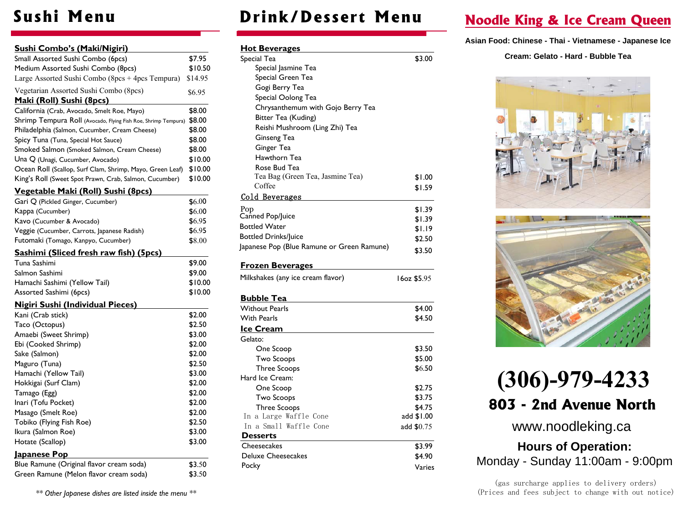### **Sushi Menu**

| Sushi Combo's (Maki/Nigiri)                                           |         |
|-----------------------------------------------------------------------|---------|
| Small Assorted Sushi Combo (6pcs)                                     | \$7.95  |
| Medium Assorted Sushi Combo (8pcs)                                    | \$10.50 |
| Large Assorted Sushi Combo (8pcs + 4pcs Tempura)                      | \$14.95 |
| Vegetarian Assorted Sushi Combo (8pcs)<br>Maki (Roll) Sushi (8pcs)    | \$6.95  |
| California (Crab, Avocado, Smelt Roe, Mayo)                           | \$8.00  |
| Shrimp Tempura Roll (Avocado, Flying Fish Roe, Shrimp Tempura) \$8.00 |         |
| Philadelphia (Salmon, Cucumber, Cream Cheese)                         | \$8.00  |
| Spicy Tuna (Tuna, Special Hot Sauce)                                  | \$8.00  |
| Smoked Salmon (Smoked Salmon, Cream Cheese)                           | \$8.00  |
| Una Q (Unagi, Cucumber, Avocado)                                      | \$10.00 |
| Ocean Roll (Scallop, Surf Clam, Shrimp, Mayo, Green Leaf)             | \$10.00 |
| King's Roll (Sweet Spot Prawn, Crab, Salmon, Cucumber)                | \$10.00 |
|                                                                       |         |
| Vegetable Maki (Roll) Sushi (8pcs)                                    |         |
| Gari Q (Pickled Ginger, Cucumber)                                     | \$6.00  |
| Kappa (Cucumber)                                                      | \$6.00  |
| Kavo (Cucumber & Avocado)                                             | \$6.95  |
| Veggie (Cucumber, Carrots, Japanese Radish)                           | \$6.95  |
| Futomaki (Tomago, Kanpyo, Cucumber)                                   | \$8.00  |
| Sashimi (Sliced fresh raw fish) (5pcs)                                |         |
| Tuna Sashimi                                                          | \$9.00  |
| Salmon Sashimi                                                        | \$9.00  |
| Hamachi Sashimi (Yellow Tail)                                         | \$10.00 |
| Assorted Sashimi (6pcs)                                               | \$10.00 |
| <b>Nigiri Sushi (Individual Pieces)</b>                               |         |
| Kani (Crab stick)                                                     | \$2.00  |
| Taco (Octopus)                                                        | \$2.50  |
| Amaebi (Sweet Shrimp)                                                 | \$3.00  |
| Ebi (Cooked Shrimp)                                                   | \$2.00  |
| Sake (Salmon)                                                         | \$2.00  |
| Maguro (Tuna)                                                         | \$2.50  |
| Hamachi (Yellow Tail)                                                 | \$3.00  |
| Hokkigai (Surf Clam)                                                  | \$2.00  |
| Tamago (Egg)                                                          | \$2.00  |
| Inari (Tofu Pocket)                                                   | \$2.00  |
| Masago (Smelt Roe)                                                    | \$2.00  |
| Tobiko (Flying Fish Roe)                                              | \$2.50  |
| Ikura (Salmon Roe)                                                    | \$3.00  |
| Hotate (Scallop)                                                      | \$3.00  |
| Japanese Pop                                                          |         |
| Blue Ramune (Original flavor cream soda)                              | \$3.50  |
| Green Ramune (Melon flavor cream soda)                                | \$3.50  |

*\*\* Other Japanese dishes are listed inside the menu \*\** 

## **Drink/Dessert Menu**

| <u>Hot Beverages</u>                       |             |
|--------------------------------------------|-------------|
| Special Tea                                | \$3.00      |
| Special Jasmine Tea                        |             |
| Special Green Tea                          |             |
| Gogi Berry Tea                             |             |
| Special Oolong Tea                         |             |
| Chrysanthemum with Gojo Berry Tea          |             |
| Bitter Tea (Kuding)                        |             |
| Reishi Mushroom (Ling Zhi) Tea             |             |
| Ginseng Tea                                |             |
| Ginger Tea                                 |             |
| Hawthorn Tea                               |             |
| Rose Bud Tea                               |             |
| Tea Bag (Green Tea, Jasmine Tea)           | \$1.00      |
| Coffee                                     | \$1.59      |
| Cold Beverages                             |             |
| Pop                                        | \$1.39      |
| Canned Pop/Juice                           | \$1.39      |
| <b>Bottled Water</b>                       | \$1.19      |
| <b>Bottled Drinks/Juice</b>                | \$2.50      |
| Japanese Pop (Blue Ramune or Green Ramune) |             |
|                                            | \$3.50      |
| <b>Frozen Beverages</b>                    |             |
| Milkshakes (any ice cream flavor)          | 16oz \$5.95 |
| <b>Bubble Tea</b>                          |             |
| <b>Without Pearls</b>                      | \$4.00      |
| <b>With Pearls</b>                         | \$4.50      |
| <u>Ice Cream</u>                           |             |
| Gelato:                                    |             |
| One Scoop                                  | \$3.50      |
| <b>Two Scoops</b>                          | \$5.00      |
| <b>Three Scoops</b>                        | \$6.50      |
| Hard Ice Cream:                            |             |
| One Scoop                                  | \$2.75      |
| <b>Two Scoops</b>                          | \$3.75      |
| <b>Three Scoops</b>                        | \$4.75      |
| In a Large Waffle Cone                     | add \$1.00  |
| In a Small Waffle Cone                     | add \$0.75  |
| <b>Desserts</b>                            |             |
| Cheesecakes                                | \$3.99      |
| <b>Deluxe Cheesecakes</b>                  | \$4.90      |
| Pocky                                      | Varies      |
|                                            |             |

## **Noodle King**& **Ice Cream Queen**

**Asian Food: Chinese - Thai - Vietnamese - Japanese Ice** 

**Cream: Gelato - Hard - Bubble Tea** 





# **(306)-979-4233803 - 2nd Avenue North**

www.noodleking.ca

**Hours of Operation:**Monday - Sunday 11:00am - 9:00pm

(gas surcharge applies to delivery orders)(Prices and fees subject to change with out notice)